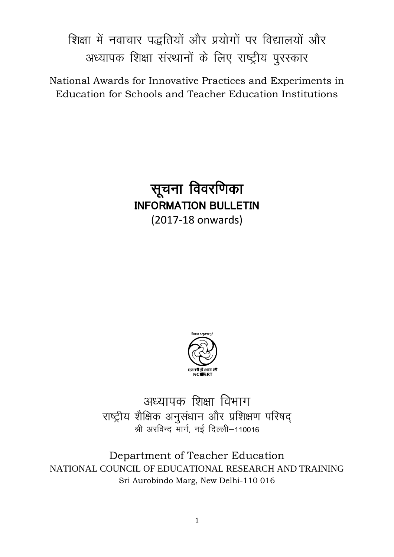शिक्षा में नवाचार पद्धतियों और प्रयोगों पर विद्यालयों और अध्यापक शिक्षा संस्थानों के लिए राष्ट्रीय पुरस्कार

National Awards for Innovative Practices and Experiments in Education for Schools and Teacher Education Institutions

> सूचना विवरणिका INFORMATION BULLETIN (2017-18 onwards)



अध्यापक शिक्षा विभाग राष्ट्रीय शैक्षिक अनुसंधान और प्रशिक्षण परिषद् श्री अरविन्द मार्ग, नई दिल्ली-110016

Department of Teacher Education NATIONAL COUNCIL OF EDUCATIONAL RESEARCH AND TRAINING Sri Aurobindo Marg, New Delhi-110 016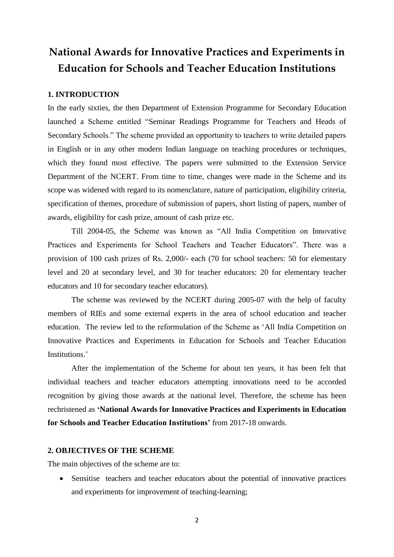# **National Awards for Innovative Practices and Experiments in Education for Schools and Teacher Education Institutions**

#### **1. INTRODUCTION**

In the early sixties, the then Department of Extension Programme for Secondary Education launched a Scheme entitled "Seminar Readings Programme for Teachers and Heads of Secondary Schools." The scheme provided an opportunity to teachers to write detailed papers in English or in any other modern Indian language on teaching procedures or techniques, which they found most effective. The papers were submitted to the Extension Service Department of the NCERT. From time to time, changes were made in the Scheme and its scope was widened with regard to its nomenclature, nature of participation, eligibility criteria, specification of themes, procedure of submission of papers, short listing of papers, number of awards, eligibility for cash prize, amount of cash prize etc.

Till 2004-05, the Scheme was known as "All India Competition on Innovative Practices and Experiments for School Teachers and Teacher Educators". There was a provision of 100 cash prizes of Rs. 2,000/- each (70 for school teachers: 50 for elementary level and 20 at secondary level, and 30 for teacher educators: 20 for elementary teacher educators and 10 for secondary teacher educators).

The scheme was reviewed by the NCERT during 2005-07 with the help of faculty members of RIEs and some external experts in the area of school education and teacher education. The review led to the reformulation of the Scheme as 'All India Competition on Innovative Practices and Experiments in Education for Schools and Teacher Education Institutions.'

After the implementation of the Scheme for about ten years, it has been felt that individual teachers and teacher educators attempting innovations need to be accorded recognition by giving those awards at the national level. Therefore, the scheme has been rechristened as **'National Awards for Innovative Practices and Experiments in Education for Schools and Teacher Education Institutions'** from 2017-18 onwards.

#### **2. OBJECTIVES OF THE SCHEME**

The main objectives of the scheme are to:

 Sensitise teachers and teacher educators about the potential of innovative practices and experiments for improvement of teaching-learning;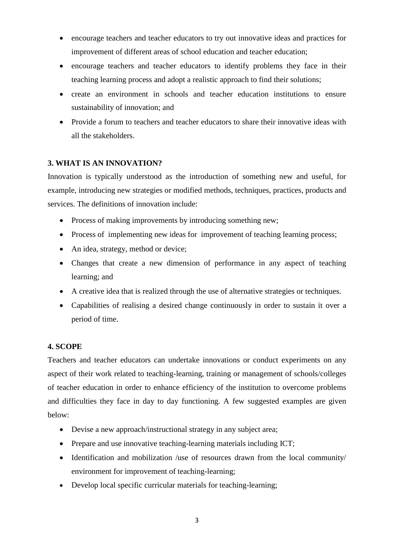- encourage teachers and teacher educators to try out innovative ideas and practices for improvement of different areas of school education and teacher education;
- encourage teachers and teacher educators to identify problems they face in their teaching learning process and adopt a realistic approach to find their solutions;
- create an environment in schools and teacher education institutions to ensure sustainability of innovation; and
- Provide a forum to teachers and teacher educators to share their innovative ideas with all the stakeholders.

## **3. WHAT IS AN INNOVATION?**

Innovation is typically understood as the introduction of something new and useful, for example, introducing new strategies or modified methods, techniques, practices, products and services. The definitions of innovation include:

- Process of making improvements by introducing something new;
- Process of implementing new ideas for improvement of teaching learning process;
- An idea, strategy, method or device;
- Changes that create a new dimension of performance in any aspect of teaching learning; and
- A creative idea that is realized through the use of alternative strategies or techniques.
- Capabilities of realising a desired change continuously in order to sustain it over a period of time.

#### **4. SCOPE**

Teachers and teacher educators can undertake innovations or conduct experiments on any aspect of their work related to teaching-learning, training or management of schools/colleges of teacher education in order to enhance efficiency of the institution to overcome problems and difficulties they face in day to day functioning. A few suggested examples are given below:

- Devise a new approach/instructional strategy in any subject area;
- Prepare and use innovative teaching-learning materials including ICT;
- Identification and mobilization /use of resources drawn from the local community/ environment for improvement of teaching-learning;
- Develop local specific curricular materials for teaching-learning;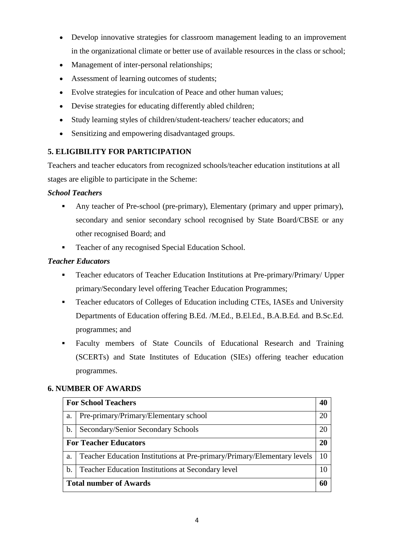- Develop innovative strategies for classroom management leading to an improvement in the organizational climate or better use of available resources in the class or school;
- Management of inter-personal relationships;
- Assessment of learning outcomes of students;
- Evolve strategies for inculcation of Peace and other human values;
- Devise strategies for educating differently abled children;
- Study learning styles of children/student-teachers/ teacher educators; and
- Sensitizing and empowering disadvantaged groups.

# **5. ELIGIBILITY FOR PARTICIPATION**

Teachers and teacher educators from recognized schools/teacher education institutions at all stages are eligible to participate in the Scheme:

# *School Teachers*

- Any teacher of Pre-school (pre-primary), Elementary (primary and upper primary), secondary and senior secondary school recognised by State Board/CBSE or any other recognised Board; and
- Teacher of any recognised Special Education School.

# *Teacher Educators*

- Teacher educators of Teacher Education Institutions at Pre-primary/Primary/ Upper primary/Secondary level offering Teacher Education Programmes;
- Teacher educators of Colleges of Education including CTEs, IASEs and University Departments of Education offering B.Ed. /M.Ed., B.El.Ed., B.A.B.Ed. and B.Sc.Ed. programmes; and
- Faculty members of State Councils of Educational Research and Training (SCERTs) and State Institutes of Education (SIEs) offering teacher education programmes.

# **6. NUMBER OF AWARDS**

| <b>For School Teachers</b>    |                                                                         |    |  |
|-------------------------------|-------------------------------------------------------------------------|----|--|
| a.                            | Pre-primary/Primary/Elementary school                                   | 20 |  |
| b.                            | Secondary/Senior Secondary Schools                                      | 20 |  |
|                               | <b>For Teacher Educators</b>                                            |    |  |
| a.                            | Teacher Education Institutions at Pre-primary/Primary/Elementary levels | 10 |  |
| b.                            | <b>Teacher Education Institutions at Secondary level</b>                | 10 |  |
| <b>Total number of Awards</b> |                                                                         |    |  |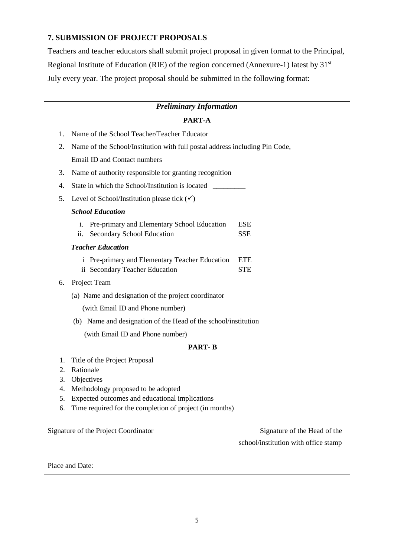## **7. SUBMISSION OF PROJECT PROPOSALS**

Teachers and teacher educators shall submit project proposal in given format to the Principal, Regional Institute of Education (RIE) of the region concerned (Annexure-1) latest by 31<sup>st</sup> July every year. The project proposal should be submitted in the following format:

| <b>Preliminary Information</b>       |                                                                                                               |                                                                      |  |  |  |  |  |
|--------------------------------------|---------------------------------------------------------------------------------------------------------------|----------------------------------------------------------------------|--|--|--|--|--|
| PART-A                               |                                                                                                               |                                                                      |  |  |  |  |  |
| 1.                                   | Name of the School Teacher/Teacher Educator                                                                   |                                                                      |  |  |  |  |  |
| 2.                                   | Name of the School/Institution with full postal address including Pin Code,                                   |                                                                      |  |  |  |  |  |
|                                      | Email ID and Contact numbers                                                                                  |                                                                      |  |  |  |  |  |
| 3.                                   | Name of authority responsible for granting recognition                                                        |                                                                      |  |  |  |  |  |
| 4.                                   | State in which the School/Institution is located                                                              |                                                                      |  |  |  |  |  |
| 5.                                   | Level of School/Institution please tick $(\checkmark)$                                                        |                                                                      |  |  |  |  |  |
|                                      | <b>School Education</b>                                                                                       |                                                                      |  |  |  |  |  |
|                                      | Pre-primary and Elementary School Education<br>i.<br>Secondary School Education<br>$\overline{\mathbf{11}}$ . | <b>ESE</b><br><b>SSE</b>                                             |  |  |  |  |  |
|                                      | <b>Teacher Education</b>                                                                                      |                                                                      |  |  |  |  |  |
|                                      | i Pre-primary and Elementary Teacher Education<br>ii Secondary Teacher Education                              | <b>ETE</b><br><b>STE</b>                                             |  |  |  |  |  |
| 6.                                   | Project Team                                                                                                  |                                                                      |  |  |  |  |  |
|                                      | (a) Name and designation of the project coordinator                                                           |                                                                      |  |  |  |  |  |
|                                      | (with Email ID and Phone number)                                                                              |                                                                      |  |  |  |  |  |
|                                      | (b) Name and designation of the Head of the school/institution                                                |                                                                      |  |  |  |  |  |
|                                      | (with Email ID and Phone number)                                                                              |                                                                      |  |  |  |  |  |
|                                      | <b>PART-B</b>                                                                                                 |                                                                      |  |  |  |  |  |
| 1.                                   | Title of the Project Proposal                                                                                 |                                                                      |  |  |  |  |  |
| 2.                                   | Rationale                                                                                                     |                                                                      |  |  |  |  |  |
| 3.                                   | Objectives                                                                                                    |                                                                      |  |  |  |  |  |
| 4.                                   | Methodology proposed to be adopted                                                                            |                                                                      |  |  |  |  |  |
| 5.                                   | Expected outcomes and educational implications                                                                |                                                                      |  |  |  |  |  |
| 6.                                   | Time required for the completion of project (in months)                                                       |                                                                      |  |  |  |  |  |
| Signature of the Project Coordinator |                                                                                                               | Signature of the Head of the<br>school/institution with office stamp |  |  |  |  |  |
|                                      | Place and Date:                                                                                               |                                                                      |  |  |  |  |  |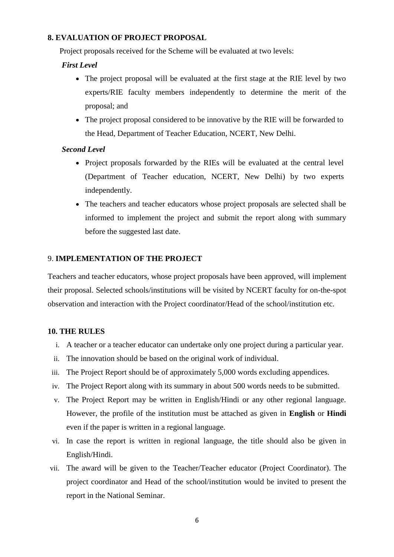#### **8. EVALUATION OF PROJECT PROPOSAL**

Project proposals received for the Scheme will be evaluated at two levels:

### *First Level*

- The project proposal will be evaluated at the first stage at the RIE level by two experts/RIE faculty members independently to determine the merit of the proposal; and
- The project proposal considered to be innovative by the RIE will be forwarded to the Head, Department of Teacher Education, NCERT, New Delhi.

## *Second Level*

- Project proposals forwarded by the RIEs will be evaluated at the central level (Department of Teacher education, NCERT, New Delhi) by two experts independently.
- The teachers and teacher educators whose project proposals are selected shall be informed to implement the project and submit the report along with summary before the suggested last date.

#### 9. **IMPLEMENTATION OF THE PROJECT**

Teachers and teacher educators, whose project proposals have been approved, will implement their proposal. Selected schools/institutions will be visited by NCERT faculty for on-the-spot observation and interaction with the Project coordinator/Head of the school/institution etc.

#### **10. THE RULES**

- i. A teacher or a teacher educator can undertake only one project during a particular year.
- ii. The innovation should be based on the original work of individual.
- iii. The Project Report should be of approximately 5,000 words excluding appendices.
- iv. The Project Report along with its summary in about 500 words needs to be submitted.
- v. The Project Report may be written in English/Hindi or any other regional language. However, the profile of the institution must be attached as given in **English** or **Hindi**  even if the paper is written in a regional language.
- vi. In case the report is written in regional language, the title should also be given in English/Hindi.
- vii. The award will be given to the Teacher/Teacher educator (Project Coordinator). The project coordinator and Head of the school/institution would be invited to present the report in the National Seminar.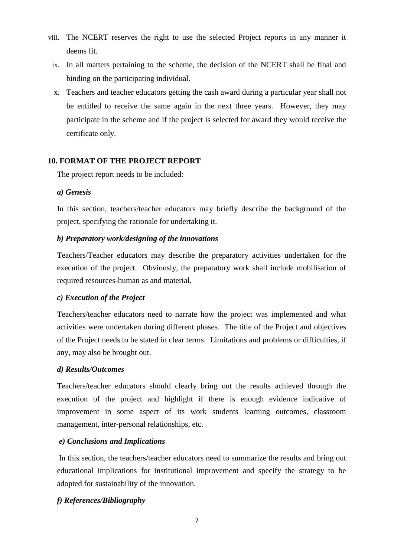- viii. The NCERT reserves the right to use the selected Project reports in any manner it deems fit.
	- ix. In all matters pertaining to the scheme, the decision of the NCERT shall be final and binding on the participating individual.
	- x. Teachers and teacher educators getting the cash award during a particular year shall not be entitled to receive the same again in the next three years. However, they may participate in the scheme and if the project is selected for award they would receive the certificate only.

# **10. FORMAT OF THE PROJECT REPORT**

The project report needs to be included:

## *a) Genesis*

In this section, teachers/teacher educators may briefly describe the background of the project, specifying the rationale for undertaking it.

#### *b) Preparatory work/designing of the innovations*

Teachers/Teacher educators may describe the preparatory activities undertaken for the execution of the project. Obviously, the preparatory work shall include mobilisation of required resources-human as and material.

## *c) Execution of the Project*

Teachers/teacher educators need to narrate how the project was implemented and what activities were undertaken during different phases. The title of the Project and objectives of the Project needs to be stated in clear terms. Limitations and problems or difficulties, if any, may also be brought out.

## *d) Results/Outcomes*

Teachers/teacher educators should clearly bring out the results achieved through the execution of the project and highlight if there is enough evidence indicative of improvement in some aspect of its work students learning outcomes, classroom management, inter-personal relationships, etc.

## *e) Conclusions and Implications*

In this section, the teachers/teacher educators need to summarize the results and bring out educational implications for institutional improvement and specify the strategy to be adopted for sustainability of the innovation.

## *f) References/Bibliography*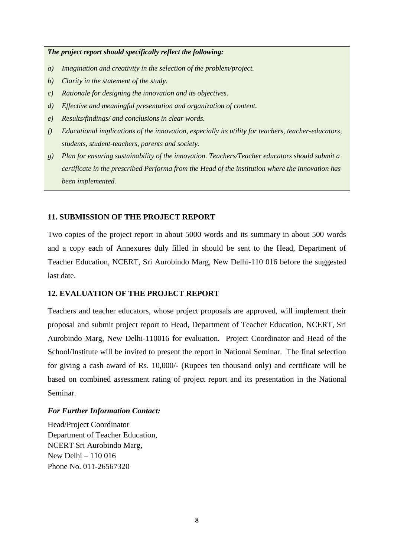*The project report should specifically reflect the following:*

- *a) Imagination and creativity in the selection of the problem/project.*
- *b) Clarity in the statement of the study.*
- *c) Rationale for designing the innovation and its objectives.*
- *d) Effective and meaningful presentation and organization of content.*
- *e) Results/findings/ and conclusions in clear words.*
- *f) Educational implications of the innovation, especially its utility for teachers, teacher-educators, students, student-teachers, parents and society.*
- *g) Plan for ensuring sustainability of the innovation. Teachers/Teacher educators should submit a certificate in the prescribed Performa from the Head of the institution where the innovation has been implemented.*

#### **11. SUBMISSION OF THE PROJECT REPORT**

Two copies of the project report in about 5000 words and its summary in about 500 words and a copy each of Annexures duly filled in should be sent to the Head, Department of Teacher Education, NCERT, Sri Aurobindo Marg, New Delhi-110 016 before the suggested last date.

#### **12. EVALUATION OF THE PROJECT REPORT**

Teachers and teacher educators, whose project proposals are approved, will implement their proposal and submit project report to Head, Department of Teacher Education, NCERT, Sri Aurobindo Marg, New Delhi-110016 for evaluation. Project Coordinator and Head of the School/Institute will be invited to present the report in National Seminar. The final selection for giving a cash award of Rs. 10,000/- (Rupees ten thousand only) and certificate will be based on combined assessment rating of project report and its presentation in the National Seminar.

#### *For Further Information Contact:*

Head/Project Coordinator Department of Teacher Education, NCERT Sri Aurobindo Marg, New Delhi – 110 016 Phone No. 011-26567320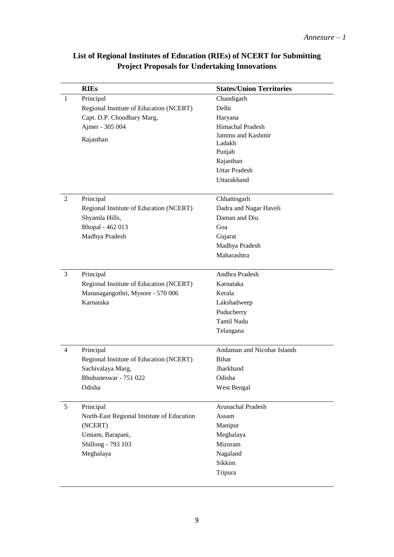|                | <b>RIEs</b>                                    | <b>States/Union Territories</b> |
|----------------|------------------------------------------------|---------------------------------|
| $\mathbf{1}$   | Principal                                      | Chandigarh                      |
|                | Regional Institute of Education (NCERT)        | Delhi                           |
|                | Capt. D.P. Choudhary Marg,                     | Haryana                         |
|                | Ajmer - 305 004                                | Himachal Pradesh                |
|                | Rajasthan                                      | Jammu and Kashmir               |
|                |                                                | Ladakh                          |
|                |                                                | Punjab                          |
|                |                                                | Rajasthan                       |
|                |                                                | <b>Uttar Pradesh</b>            |
|                |                                                | Uttarakhand                     |
| $\overline{2}$ | Principal                                      | Chhattisgarh                    |
|                | Regional Institute of Education (NCERT)        | Dadra and Nagar Haveli          |
|                | Shyamla Hills,                                 | Daman and Diu                   |
|                | Bhopal - 462 013                               | Goa                             |
|                | Madhya Pradesh                                 | Gujarat                         |
|                |                                                | Madhya Pradesh                  |
|                |                                                | Maharashtra                     |
|                |                                                |                                 |
| 3              | Principal                                      | Andhra Pradesh                  |
|                | Regional Institute of Education (NCERT)        | Karnataka                       |
|                | Manasagangothri, Mysore - 570 006<br>Karnataka | Kerala                          |
|                |                                                | Lakshadweep                     |
|                |                                                | Puducherry                      |
|                |                                                | Tamil Nadu                      |
|                |                                                | Telangana                       |
| 4              | Principal                                      | Andaman and Nicobar Islands     |
|                | Regional Institute of Education (NCERT)        | <b>Bihar</b>                    |
|                | Sachivalaya Marg,                              | Jharkhand                       |
|                | Bhubaneswar - 751 022                          | Odisha                          |
|                | Odisha                                         | West Bengal                     |
| 5              | Principal                                      | Arunachal Pradesh               |
|                | North-East Regional Institute of Education     | Assam                           |
|                | (NCERT)                                        | Manipur                         |
|                | Umiam, Barapani,                               | Meghalaya                       |
|                | Shillong - 793 103                             | Mizoram                         |
|                | Meghalaya                                      | Nagaland                        |
|                |                                                | Sikkim                          |
|                |                                                | Tripura                         |
|                |                                                |                                 |

# **List of Regional Institutes of Education (RIEs) of NCERT for Submitting Project Proposals for Undertaking Innovations**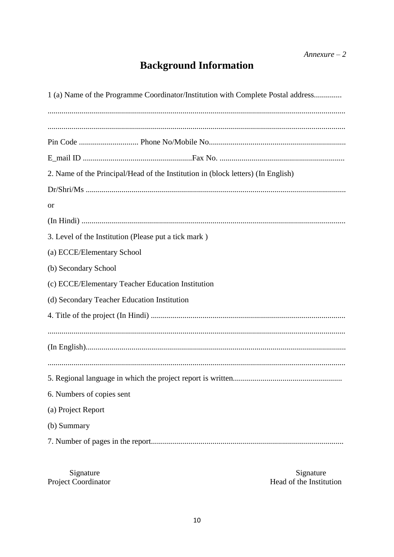# **Background Information**

| 1 (a) Name of the Programme Coordinator/Institution with Complete Postal address |  |  |  |  |  |
|----------------------------------------------------------------------------------|--|--|--|--|--|
|                                                                                  |  |  |  |  |  |
|                                                                                  |  |  |  |  |  |
|                                                                                  |  |  |  |  |  |
| 2. Name of the Principal/Head of the Institution in (block letters) (In English) |  |  |  |  |  |
|                                                                                  |  |  |  |  |  |
| <b>or</b>                                                                        |  |  |  |  |  |
|                                                                                  |  |  |  |  |  |
| 3. Level of the Institution (Please put a tick mark)                             |  |  |  |  |  |
| (a) ECCE/Elementary School                                                       |  |  |  |  |  |
| (b) Secondary School                                                             |  |  |  |  |  |
| (c) ECCE/Elementary Teacher Education Institution                                |  |  |  |  |  |
| (d) Secondary Teacher Education Institution                                      |  |  |  |  |  |
|                                                                                  |  |  |  |  |  |
|                                                                                  |  |  |  |  |  |
|                                                                                  |  |  |  |  |  |
|                                                                                  |  |  |  |  |  |
|                                                                                  |  |  |  |  |  |
| 6. Numbers of copies sent                                                        |  |  |  |  |  |
| (a) Project Report                                                               |  |  |  |  |  |
| (b) Summary                                                                      |  |  |  |  |  |
|                                                                                  |  |  |  |  |  |

Signature<br>Project Coordinator

Signature<br>Head of the Institution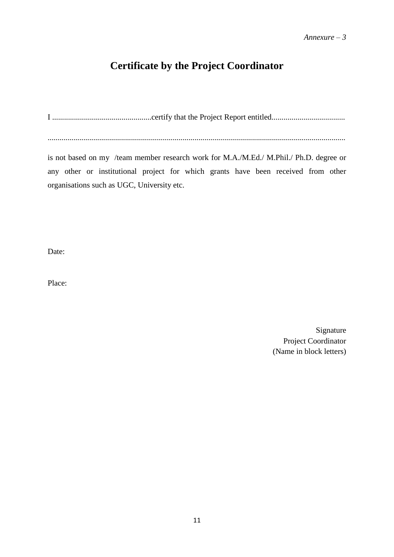# **Certificate by the Project Coordinator**

I ..................................................certify that the Project Report entitled.....................................

......................................................................................................................................................

is not based on my /team member research work for M.A./M.Ed./ M.Phil./ Ph.D. degree or any other or institutional project for which grants have been received from other organisations such as UGC, University etc.

Date:

Place:

Signature Project Coordinator (Name in block letters)